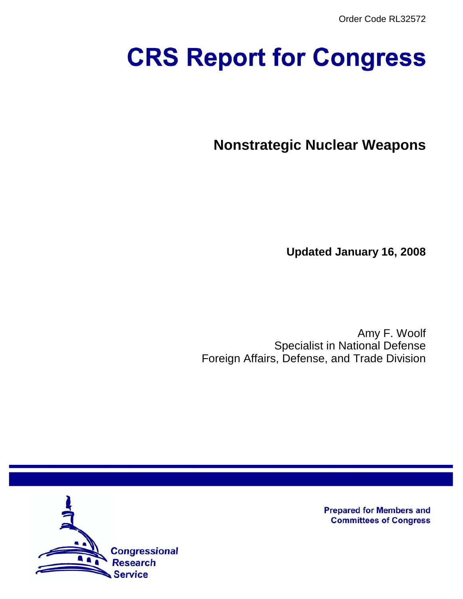Order Code RL32572

# **CRS Report for Congress**

**Nonstrategic Nuclear Weapons**

**Updated January 16, 2008**

Amy F. Woolf Specialist in National Defense Foreign Affairs, Defense, and Trade Division



**Prepared for Members and Committees of Congress**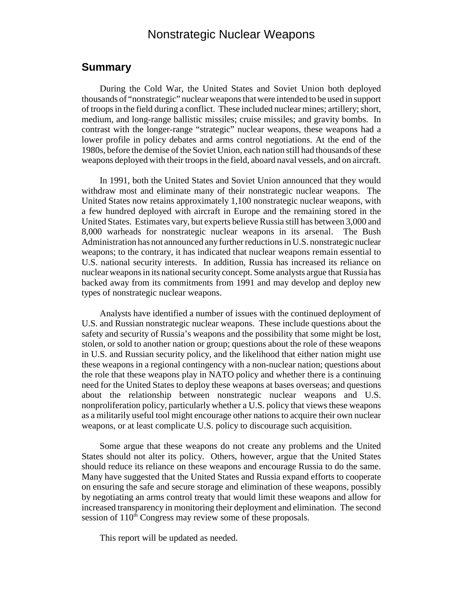## Nonstrategic Nuclear Weapons

## **Summary**

During the Cold War, the United States and Soviet Union both deployed thousands of "nonstrategic" nuclear weapons that were intended to be used in support of troops in the field during a conflict. These included nuclear mines; artillery; short, medium, and long-range ballistic missiles; cruise missiles; and gravity bombs. In contrast with the longer-range "strategic" nuclear weapons, these weapons had a lower profile in policy debates and arms control negotiations. At the end of the 1980s, before the demise of the Soviet Union, each nation still had thousands of these weapons deployed with their troops in the field, aboard naval vessels, and on aircraft.

In 1991, both the United States and Soviet Union announced that they would withdraw most and eliminate many of their nonstrategic nuclear weapons. The United States now retains approximately 1,100 nonstrategic nuclear weapons, with a few hundred deployed with aircraft in Europe and the remaining stored in the United States. Estimates vary, but experts believe Russia still has between 3,000 and 8,000 warheads for nonstrategic nuclear weapons in its arsenal. The Bush Administration has not announced any further reductions in U.S. nonstrategic nuclear weapons; to the contrary, it has indicated that nuclear weapons remain essential to U.S. national security interests. In addition, Russia has increased its reliance on nuclear weapons in its national security concept. Some analysts argue that Russia has backed away from its commitments from 1991 and may develop and deploy new types of nonstrategic nuclear weapons.

Analysts have identified a number of issues with the continued deployment of U.S. and Russian nonstrategic nuclear weapons. These include questions about the safety and security of Russia's weapons and the possibility that some might be lost, stolen, or sold to another nation or group; questions about the role of these weapons in U.S. and Russian security policy, and the likelihood that either nation might use these weapons in a regional contingency with a non-nuclear nation; questions about the role that these weapons play in NATO policy and whether there is a continuing need for the United States to deploy these weapons at bases overseas; and questions about the relationship between nonstrategic nuclear weapons and U.S. nonproliferation policy, particularly whether a U.S. policy that views these weapons as a militarily useful tool might encourage other nations to acquire their own nuclear weapons, or at least complicate U.S. policy to discourage such acquisition.

Some argue that these weapons do not create any problems and the United States should not alter its policy. Others, however, argue that the United States should reduce its reliance on these weapons and encourage Russia to do the same. Many have suggested that the United States and Russia expand efforts to cooperate on ensuring the safe and secure storage and elimination of these weapons, possibly by negotiating an arms control treaty that would limit these weapons and allow for increased transparency in monitoring their deployment and elimination. The second session of 110<sup>th</sup> Congress may review some of these proposals.

This report will be updated as needed.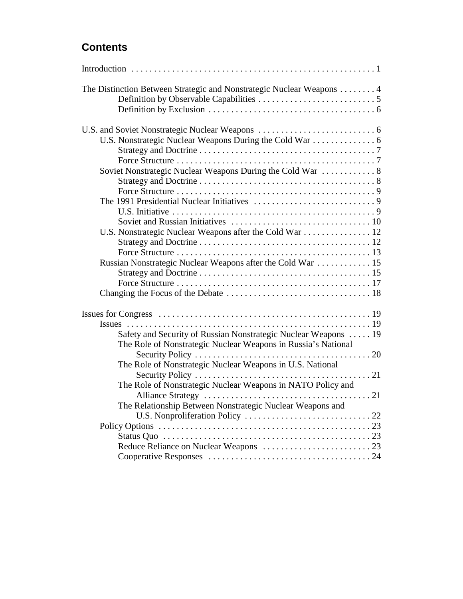# **Contents**

| The Distinction Between Strategic and Nonstrategic Nuclear Weapons 4                                                             |
|----------------------------------------------------------------------------------------------------------------------------------|
|                                                                                                                                  |
|                                                                                                                                  |
|                                                                                                                                  |
|                                                                                                                                  |
|                                                                                                                                  |
| Soviet Nonstrategic Nuclear Weapons During the Cold War  8                                                                       |
|                                                                                                                                  |
|                                                                                                                                  |
|                                                                                                                                  |
|                                                                                                                                  |
|                                                                                                                                  |
| U.S. Nonstrategic Nuclear Weapons after the Cold War  12                                                                         |
|                                                                                                                                  |
|                                                                                                                                  |
| Russian Nonstrategic Nuclear Weapons after the Cold War  15                                                                      |
|                                                                                                                                  |
|                                                                                                                                  |
|                                                                                                                                  |
|                                                                                                                                  |
| Safety and Security of Russian Nonstrategic Nuclear Weapons  19<br>The Role of Nonstrategic Nuclear Weapons in Russia's National |
|                                                                                                                                  |
| The Role of Nonstrategic Nuclear Weapons in U.S. National                                                                        |
|                                                                                                                                  |
| The Role of Nonstrategic Nuclear Weapons in NATO Policy and                                                                      |
|                                                                                                                                  |
| The Relationship Between Nonstrategic Nuclear Weapons and                                                                        |
|                                                                                                                                  |
|                                                                                                                                  |
|                                                                                                                                  |
|                                                                                                                                  |
|                                                                                                                                  |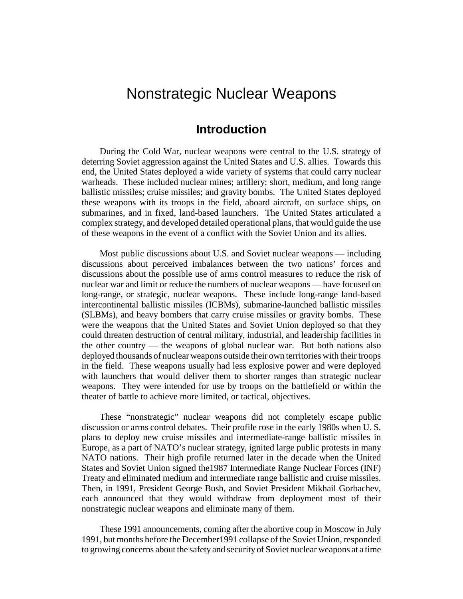# Nonstrategic Nuclear Weapons

## **Introduction**

During the Cold War, nuclear weapons were central to the U.S. strategy of deterring Soviet aggression against the United States and U.S. allies. Towards this end, the United States deployed a wide variety of systems that could carry nuclear warheads. These included nuclear mines; artillery; short, medium, and long range ballistic missiles; cruise missiles; and gravity bombs. The United States deployed these weapons with its troops in the field, aboard aircraft, on surface ships, on submarines, and in fixed, land-based launchers. The United States articulated a complex strategy, and developed detailed operational plans, that would guide the use of these weapons in the event of a conflict with the Soviet Union and its allies.

Most public discussions about U.S. and Soviet nuclear weapons — including discussions about perceived imbalances between the two nations' forces and discussions about the possible use of arms control measures to reduce the risk of nuclear war and limit or reduce the numbers of nuclear weapons — have focused on long-range, or strategic, nuclear weapons. These include long-range land-based intercontinental ballistic missiles (ICBMs), submarine-launched ballistic missiles (SLBMs), and heavy bombers that carry cruise missiles or gravity bombs. These were the weapons that the United States and Soviet Union deployed so that they could threaten destruction of central military, industrial, and leadership facilities in the other country — the weapons of global nuclear war. But both nations also deployed thousands of nuclear weapons outside their own territories with their troops in the field. These weapons usually had less explosive power and were deployed with launchers that would deliver them to shorter ranges than strategic nuclear weapons. They were intended for use by troops on the battlefield or within the theater of battle to achieve more limited, or tactical, objectives.

These "nonstrategic" nuclear weapons did not completely escape public discussion or arms control debates. Their profile rose in the early 1980s when U. S. plans to deploy new cruise missiles and intermediate-range ballistic missiles in Europe, as a part of NATO's nuclear strategy, ignited large public protests in many NATO nations. Their high profile returned later in the decade when the United States and Soviet Union signed the1987 Intermediate Range Nuclear Forces (INF) Treaty and eliminated medium and intermediate range ballistic and cruise missiles. Then, in 1991, President George Bush, and Soviet President Mikhail Gorbachev, each announced that they would withdraw from deployment most of their nonstrategic nuclear weapons and eliminate many of them.

These 1991 announcements, coming after the abortive coup in Moscow in July 1991, but months before the December1991 collapse of the Soviet Union, responded to growing concerns about the safety and security of Soviet nuclear weapons at a time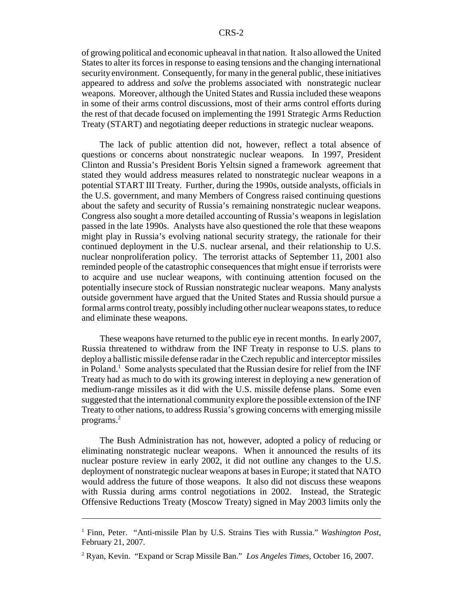of growing political and economic upheaval in that nation. It also allowed the United States to alter its forces in response to easing tensions and the changing international security environment. Consequently, for many in the general public, these initiatives appeared to address and *solve* the problems associated with nonstrategic nuclear weapons. Moreover, although the United States and Russia included these weapons in some of their arms control discussions, most of their arms control efforts during the rest of that decade focused on implementing the 1991 Strategic Arms Reduction Treaty (START) and negotiating deeper reductions in strategic nuclear weapons.

The lack of public attention did not, however, reflect a total absence of questions or concerns about nonstrategic nuclear weapons. In 1997, President Clinton and Russia's President Boris Yeltsin signed a framework agreement that stated they would address measures related to nonstrategic nuclear weapons in a potential START III Treaty. Further, during the 1990s, outside analysts, officials in the U.S. government, and many Members of Congress raised continuing questions about the safety and security of Russia's remaining nonstrategic nuclear weapons. Congress also sought a more detailed accounting of Russia's weapons in legislation passed in the late 1990s. Analysts have also questioned the role that these weapons might play in Russia's evolving national security strategy, the rationale for their continued deployment in the U.S. nuclear arsenal, and their relationship to U.S. nuclear nonproliferation policy. The terrorist attacks of September 11, 2001 also reminded people of the catastrophic consequences that might ensue if terrorists were to acquire and use nuclear weapons, with continuing attention focused on the potentially insecure stock of Russian nonstrategic nuclear weapons. Many analysts outside government have argued that the United States and Russia should pursue a formal arms control treaty, possibly including other nuclear weapons states, to reduce and eliminate these weapons.

These weapons have returned to the public eye in recent months. In early 2007, Russia threatened to withdraw from the INF Treaty in response to U.S. plans to deploy a ballistic missile defense radar in the Czech republic and interceptor missiles in Poland.<sup>1</sup> Some analysts speculated that the Russian desire for relief from the INF Treaty had as much to do with its growing interest in deploying a new generation of medium-range missiles as it did with the U.S. missile defense plans. Some even suggested that the international community explore the possible extension of the INF Treaty to other nations, to address Russia's growing concerns with emerging missile programs.2

The Bush Administration has not, however, adopted a policy of reducing or eliminating nonstrategic nuclear weapons. When it announced the results of its nuclear posture review in early 2002, it did not outline any changes to the U.S. deployment of nonstrategic nuclear weapons at bases in Europe; it stated that NATO would address the future of those weapons. It also did not discuss these weapons with Russia during arms control negotiations in 2002. Instead, the Strategic Offensive Reductions Treaty (Moscow Treaty) signed in May 2003 limits only the

<sup>&</sup>lt;sup>1</sup> Finn, Peter. "Anti-missile Plan by U.S. Strains Ties with Russia." *Washington Post*, February 21, 2007.

<sup>2</sup> Ryan, Kevin. "Expand or Scrap Missile Ban." *Los Angeles Times*, October 16, 2007.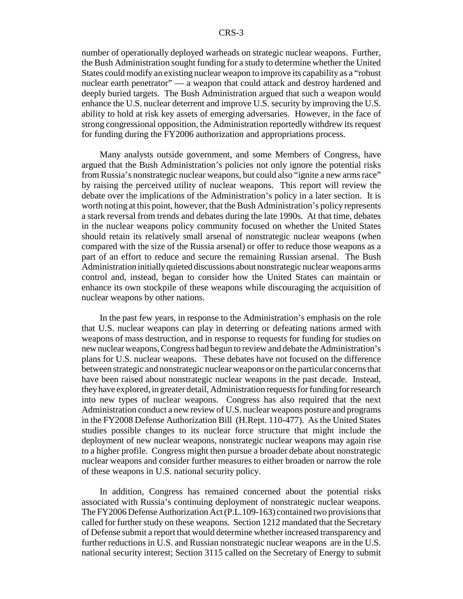number of operationally deployed warheads on strategic nuclear weapons. Further, the Bush Administration sought funding for a study to determine whether the United States could modify an existing nuclear weapon to improve its capability as a "robust nuclear earth penetrator" — a weapon that could attack and destroy hardened and deeply buried targets. The Bush Administration argued that such a weapon would enhance the U.S. nuclear deterrent and improve U.S. security by improving the U.S. ability to hold at risk key assets of emerging adversaries. However, in the face of strong congressional opposition, the Administration reportedly withdrew its request for funding during the FY2006 authorization and appropriations process.

Many analysts outside government, and some Members of Congress, have argued that the Bush Administration's policies not only ignore the potential risks from Russia's nonstrategic nuclear weapons, but could also "ignite a new arms race" by raising the perceived utility of nuclear weapons. This report will review the debate over the implications of the Administration's policy in a later section. It is worth noting at this point, however, that the Bush Administration's policy represents a stark reversal from trends and debates during the late 1990s. At that time, debates in the nuclear weapons policy community focused on whether the United States should retain its relatively small arsenal of nonstrategic nuclear weapons (when compared with the size of the Russia arsenal) or offer to reduce those weapons as a part of an effort to reduce and secure the remaining Russian arsenal. The Bush Administration initially quieted discussions about nonstrategic nuclear weapons arms control and, instead, began to consider how the United States can maintain or enhance its own stockpile of these weapons while discouraging the acquisition of nuclear weapons by other nations.

In the past few years, in response to the Administration's emphasis on the role that U.S. nuclear weapons can play in deterring or defeating nations armed with weapons of mass destruction, and in response to requests for funding for studies on new nuclear weapons, Congress had begun to review and debate the Administration's plans for U.S. nuclear weapons. These debates have not focused on the difference between strategic and nonstrategic nuclear weapons or on the particular concerns that have been raised about nonstrategic nuclear weapons in the past decade. Instead, they have explored, in greater detail, Administration requests for funding for research into new types of nuclear weapons. Congress has also required that the next Administration conduct a new review of U.S. nuclear weapons posture and programs in the FY2008 Defense Authorization Bill (H.Rept. 110-477). As the United States studies possible changes to its nuclear force structure that might include the deployment of new nuclear weapons, nonstrategic nuclear weapons may again rise to a higher profile. Congress might then pursue a broader debate about nonstrategic nuclear weapons and consider further measures to either broaden or narrow the role of these weapons in U.S. national security policy.

In addition, Congress has remained concerned about the potential risks associated with Russia's continuing deployment of nonstrategic nuclear weapons. The FY2006 Defense Authorization Act (P.L.109-163) contained two provisions that called for further study on these weapons. Section 1212 mandated that the Secretary of Defense submit a report that would determine whether increased transparency and further reductions in U.S. and Russian nonstrategic nuclear weapons are in the U.S. national security interest; Section 3115 called on the Secretary of Energy to submit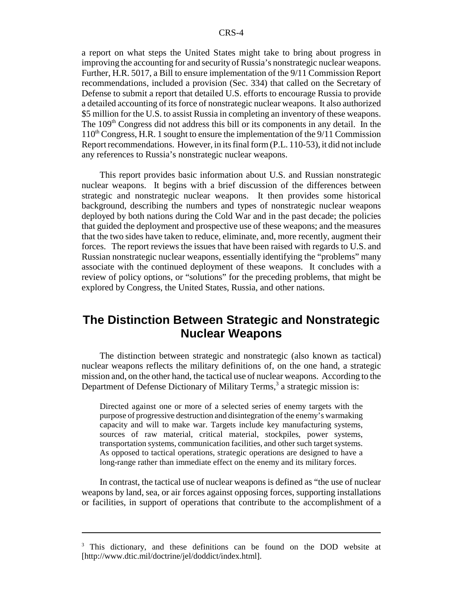a report on what steps the United States might take to bring about progress in improving the accounting for and security of Russia's nonstrategic nuclear weapons. Further, H.R. 5017, a Bill to ensure implementation of the 9/11 Commission Report recommendations, included a provision (Sec. 334) that called on the Secretary of Defense to submit a report that detailed U.S. efforts to encourage Russia to provide a detailed accounting of its force of nonstrategic nuclear weapons. It also authorized \$5 million for the U.S. to assist Russia in completing an inventory of these weapons. The 109<sup>th</sup> Congress did not address this bill or its components in any detail. In the  $110<sup>th</sup> Congress, H.R.$  1 sought to ensure the implementation of the  $9/11$  Commission Report recommendations. However, in its final form (P.L. 110-53), it did not include any references to Russia's nonstrategic nuclear weapons.

This report provides basic information about U.S. and Russian nonstrategic nuclear weapons. It begins with a brief discussion of the differences between strategic and nonstrategic nuclear weapons. It then provides some historical background, describing the numbers and types of nonstrategic nuclear weapons deployed by both nations during the Cold War and in the past decade; the policies that guided the deployment and prospective use of these weapons; and the measures that the two sides have taken to reduce, eliminate, and, more recently, augment their forces. The report reviews the issues that have been raised with regards to U.S. and Russian nonstrategic nuclear weapons, essentially identifying the "problems" many associate with the continued deployment of these weapons. It concludes with a review of policy options, or "solutions" for the preceding problems, that might be explored by Congress, the United States, Russia, and other nations.

# **The Distinction Between Strategic and Nonstrategic Nuclear Weapons**

The distinction between strategic and nonstrategic (also known as tactical) nuclear weapons reflects the military definitions of, on the one hand, a strategic mission and, on the other hand, the tactical use of nuclear weapons. According to the Department of Defense Dictionary of Military Terms,<sup>3</sup> a strategic mission is:

Directed against one or more of a selected series of enemy targets with the purpose of progressive destruction and disintegration of the enemy's warmaking capacity and will to make war. Targets include key manufacturing systems, sources of raw material, critical material, stockpiles, power systems, transportation systems, communication facilities, and other such target systems. As opposed to tactical operations, strategic operations are designed to have a long-range rather than immediate effect on the enemy and its military forces.

In contrast, the tactical use of nuclear weapons is defined as "the use of nuclear weapons by land, sea, or air forces against opposing forces, supporting installations or facilities, in support of operations that contribute to the accomplishment of a

<sup>&</sup>lt;sup>3</sup> This dictionary, and these definitions can be found on the DOD website at [http://www.dtic.mil/doctrine/jel/doddict/index.html].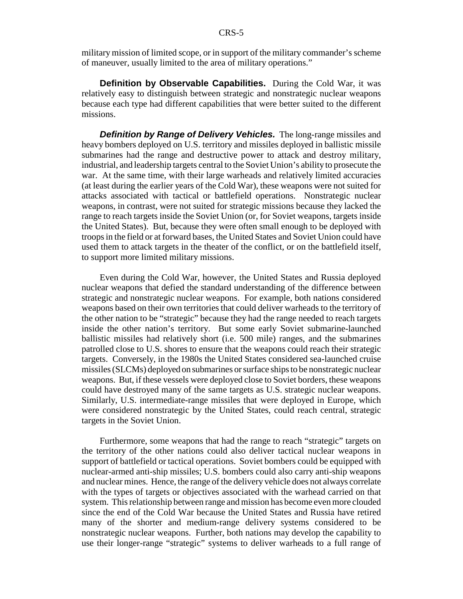military mission of limited scope, or in support of the military commander's scheme of maneuver, usually limited to the area of military operations."

**Definition by Observable Capabilities.** During the Cold War, it was relatively easy to distinguish between strategic and nonstrategic nuclear weapons because each type had different capabilities that were better suited to the different missions.

*Definition by Range of Delivery Vehicles.* The long-range missiles and heavy bombers deployed on U.S. territory and missiles deployed in ballistic missile submarines had the range and destructive power to attack and destroy military, industrial, and leadership targets central to the Soviet Union's ability to prosecute the war. At the same time, with their large warheads and relatively limited accuracies (at least during the earlier years of the Cold War), these weapons were not suited for attacks associated with tactical or battlefield operations. Nonstrategic nuclear weapons, in contrast, were not suited for strategic missions because they lacked the range to reach targets inside the Soviet Union (or, for Soviet weapons, targets inside the United States). But, because they were often small enough to be deployed with troops in the field or at forward bases, the United States and Soviet Union could have used them to attack targets in the theater of the conflict, or on the battlefield itself, to support more limited military missions.

Even during the Cold War, however, the United States and Russia deployed nuclear weapons that defied the standard understanding of the difference between strategic and nonstrategic nuclear weapons. For example, both nations considered weapons based on their own territories that could deliver warheads to the territory of the other nation to be "strategic" because they had the range needed to reach targets inside the other nation's territory. But some early Soviet submarine-launched ballistic missiles had relatively short (i.e. 500 mile) ranges, and the submarines patrolled close to U.S. shores to ensure that the weapons could reach their strategic targets. Conversely, in the 1980s the United States considered sea-launched cruise missiles (SLCMs) deployed on submarines or surface ships to be nonstrategic nuclear weapons. But, if these vessels were deployed close to Soviet borders, these weapons could have destroyed many of the same targets as U.S. strategic nuclear weapons. Similarly, U.S. intermediate-range missiles that were deployed in Europe, which were considered nonstrategic by the United States, could reach central, strategic targets in the Soviet Union.

Furthermore, some weapons that had the range to reach "strategic" targets on the territory of the other nations could also deliver tactical nuclear weapons in support of battlefield or tactical operations. Soviet bombers could be equipped with nuclear-armed anti-ship missiles; U.S. bombers could also carry anti-ship weapons and nuclear mines. Hence, the range of the delivery vehicle does not always correlate with the types of targets or objectives associated with the warhead carried on that system. This relationship between range and mission has become even more clouded since the end of the Cold War because the United States and Russia have retired many of the shorter and medium-range delivery systems considered to be nonstrategic nuclear weapons. Further, both nations may develop the capability to use their longer-range "strategic" systems to deliver warheads to a full range of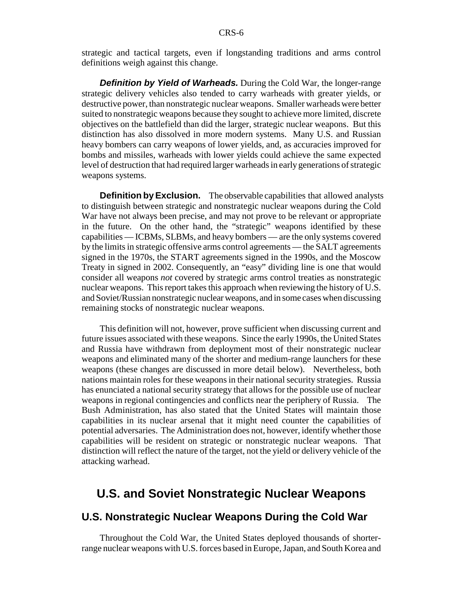strategic and tactical targets, even if longstanding traditions and arms control definitions weigh against this change.

**Definition by Yield of Warheads.** During the Cold War, the longer-range strategic delivery vehicles also tended to carry warheads with greater yields, or destructive power, than nonstrategic nuclear weapons. Smaller warheads were better suited to nonstrategic weapons because they sought to achieve more limited, discrete objectives on the battlefield than did the larger, strategic nuclear weapons. But this distinction has also dissolved in more modern systems. Many U.S. and Russian heavy bombers can carry weapons of lower yields, and, as accuracies improved for bombs and missiles, warheads with lower yields could achieve the same expected level of destruction that had required larger warheads in early generations of strategic weapons systems.

**Definition by Exclusion.** The observable capabilities that allowed analysts to distinguish between strategic and nonstrategic nuclear weapons during the Cold War have not always been precise, and may not prove to be relevant or appropriate in the future. On the other hand, the "strategic" weapons identified by these capabilities — ICBMs, SLBMs, and heavy bombers — are the only systems covered by the limits in strategic offensive arms control agreements — the SALT agreements signed in the 1970s, the START agreements signed in the 1990s, and the Moscow Treaty in signed in 2002. Consequently, an "easy" dividing line is one that would consider all weapons *not* covered by strategic arms control treaties as nonstrategic nuclear weapons. This report takes this approach when reviewing the history of U.S. and Soviet/Russian nonstrategic nuclear weapons, and in some cases when discussing remaining stocks of nonstrategic nuclear weapons.

This definition will not, however, prove sufficient when discussing current and future issues associated with these weapons. Since the early 1990s, the United States and Russia have withdrawn from deployment most of their nonstrategic nuclear weapons and eliminated many of the shorter and medium-range launchers for these weapons (these changes are discussed in more detail below). Nevertheless, both nations maintain roles for these weapons in their national security strategies. Russia has enunciated a national security strategy that allows for the possible use of nuclear weapons in regional contingencies and conflicts near the periphery of Russia. The Bush Administration, has also stated that the United States will maintain those capabilities in its nuclear arsenal that it might need counter the capabilities of potential adversaries. The Administration does not, however, identify whether those capabilities will be resident on strategic or nonstrategic nuclear weapons. That distinction will reflect the nature of the target, not the yield or delivery vehicle of the attacking warhead.

## **U.S. and Soviet Nonstrategic Nuclear Weapons**

## **U.S. Nonstrategic Nuclear Weapons During the Cold War**

Throughout the Cold War, the United States deployed thousands of shorterrange nuclear weapons with U.S. forces based in Europe, Japan, and South Korea and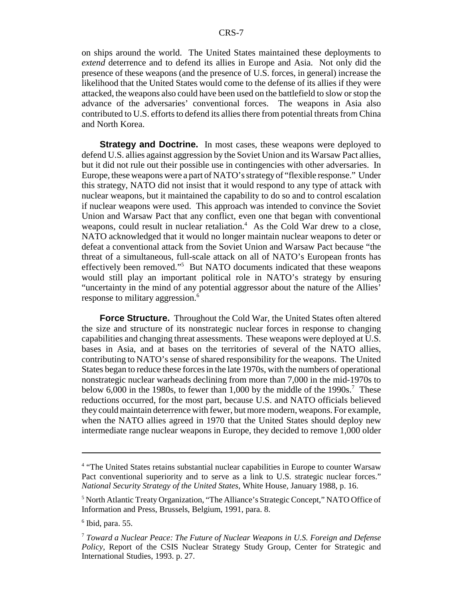on ships around the world. The United States maintained these deployments to *extend* deterrence and to defend its allies in Europe and Asia. Not only did the presence of these weapons (and the presence of U.S. forces, in general) increase the likelihood that the United States would come to the defense of its allies if they were attacked, the weapons also could have been used on the battlefield to slow or stop the advance of the adversaries' conventional forces. The weapons in Asia also contributed to U.S. efforts to defend its allies there from potential threats from China and North Korea.

**Strategy and Doctrine.** In most cases, these weapons were deployed to defend U.S. allies against aggression by the Soviet Union and its Warsaw Pact allies, but it did not rule out their possible use in contingencies with other adversaries. In Europe, these weapons were a part of NATO's strategy of "flexible response." Under this strategy, NATO did not insist that it would respond to any type of attack with nuclear weapons, but it maintained the capability to do so and to control escalation if nuclear weapons were used. This approach was intended to convince the Soviet Union and Warsaw Pact that any conflict, even one that began with conventional weapons, could result in nuclear retaliation.<sup>4</sup> As the Cold War drew to a close, NATO acknowledged that it would no longer maintain nuclear weapons to deter or defeat a conventional attack from the Soviet Union and Warsaw Pact because "the threat of a simultaneous, full-scale attack on all of NATO's European fronts has effectively been removed."<sup>5</sup> But NATO documents indicated that these weapons would still play an important political role in NATO's strategy by ensuring "uncertainty in the mind of any potential aggressor about the nature of the Allies' response to military aggression.<sup>6</sup>

**Force Structure.** Throughout the Cold War, the United States often altered the size and structure of its nonstrategic nuclear forces in response to changing capabilities and changing threat assessments. These weapons were deployed at U.S. bases in Asia, and at bases on the territories of several of the NATO allies, contributing to NATO's sense of shared responsibility for the weapons. The United States began to reduce these forces in the late 1970s, with the numbers of operational nonstrategic nuclear warheads declining from more than 7,000 in the mid-1970s to below 6,000 in the 1980s, to fewer than 1,000 by the middle of the 1990s.<sup>7</sup> These reductions occurred, for the most part, because U.S. and NATO officials believed they could maintain deterrence with fewer, but more modern, weapons. For example, when the NATO allies agreed in 1970 that the United States should deploy new intermediate range nuclear weapons in Europe, they decided to remove 1,000 older

<sup>&</sup>lt;sup>4</sup> "The United States retains substantial nuclear capabilities in Europe to counter Warsaw Pact conventional superiority and to serve as a link to U.S. strategic nuclear forces." *National Security Strategy of the United States*, White House, January 1988, p. 16.

<sup>&</sup>lt;sup>5</sup> North Atlantic Treaty Organization, "The Alliance's Strategic Concept," NATO Office of Information and Press, Brussels, Belgium, 1991, para. 8.

<sup>6</sup> Ibid, para. 55.

<sup>7</sup> *Toward a Nuclear Peace: The Future of Nuclear Weapons in U.S. Foreign and Defense Policy*, Report of the CSIS Nuclear Strategy Study Group, Center for Strategic and International Studies, 1993. p. 27.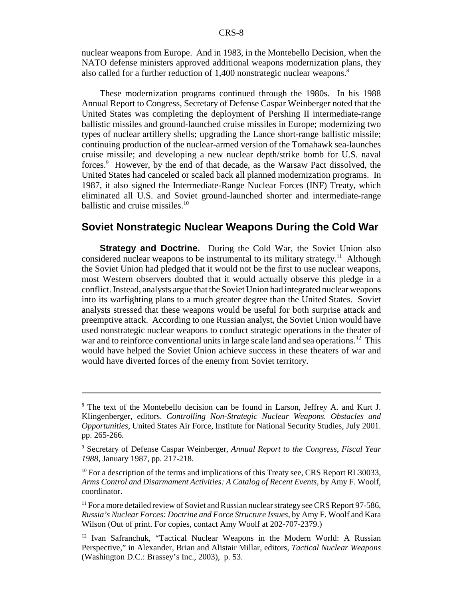nuclear weapons from Europe. And in 1983, in the Montebello Decision, when the NATO defense ministers approved additional weapons modernization plans, they also called for a further reduction of 1,400 nonstrategic nuclear weapons.<sup>8</sup>

These modernization programs continued through the 1980s. In his 1988 Annual Report to Congress, Secretary of Defense Caspar Weinberger noted that the United States was completing the deployment of Pershing II intermediate-range ballistic missiles and ground-launched cruise missiles in Europe; modernizing two types of nuclear artillery shells; upgrading the Lance short-range ballistic missile; continuing production of the nuclear-armed version of the Tomahawk sea-launches cruise missile; and developing a new nuclear depth/strike bomb for U.S. naval forces.<sup>9</sup> However, by the end of that decade, as the Warsaw Pact dissolved, the United States had canceled or scaled back all planned modernization programs. In 1987, it also signed the Intermediate-Range Nuclear Forces (INF) Treaty, which eliminated all U.S. and Soviet ground-launched shorter and intermediate-range ballistic and cruise missiles.<sup>10</sup>

#### **Soviet Nonstrategic Nuclear Weapons During the Cold War**

**Strategy and Doctrine.** During the Cold War, the Soviet Union also considered nuclear weapons to be instrumental to its military strategy.<sup>11</sup> Although the Soviet Union had pledged that it would not be the first to use nuclear weapons, most Western observers doubted that it would actually observe this pledge in a conflict. Instead, analysts argue that the Soviet Union had integrated nuclear weapons into its warfighting plans to a much greater degree than the United States. Soviet analysts stressed that these weapons would be useful for both surprise attack and preemptive attack. According to one Russian analyst, the Soviet Union would have used nonstrategic nuclear weapons to conduct strategic operations in the theater of war and to reinforce conventional units in large scale land and sea operations.<sup>12</sup> This would have helped the Soviet Union achieve success in these theaters of war and would have diverted forces of the enemy from Soviet territory.

<sup>&</sup>lt;sup>8</sup> The text of the Montebello decision can be found in Larson, Jeffrey A. and Kurt J. Klingenberger, editors. *Controlling Non-Strategic Nuclear Weapons. Obstacles and Opportunities*, United States Air Force, Institute for National Security Studies, July 2001. pp. 265-266.

<sup>9</sup> Secretary of Defense Caspar Weinberger, *Annual Report to the Congress, Fiscal Year 1988*, January 1987, pp. 217-218.

 $10$  For a description of the terms and implications of this Treaty see, CRS Report RL30033, *Arms Control and Disarmament Activities: A Catalog of Recent Events*, by Amy F. Woolf, coordinator.

 $11$  For a more detailed review of Soviet and Russian nuclear strategy see CRS Report 97-586, *Russia's Nuclear Forces: Doctrine and Force Structure Issues*, by Amy F. Woolf and Kara Wilson (Out of print. For copies, contact Amy Woolf at 202-707-2379.)

<sup>12</sup> Ivan Safranchuk, "Tactical Nuclear Weapons in the Modern World: A Russian Perspective," in Alexander, Brian and Alistair Millar, editors, *Tactical Nuclear Weapons* (Washington D.C.: Brassey's Inc., 2003), p. 53.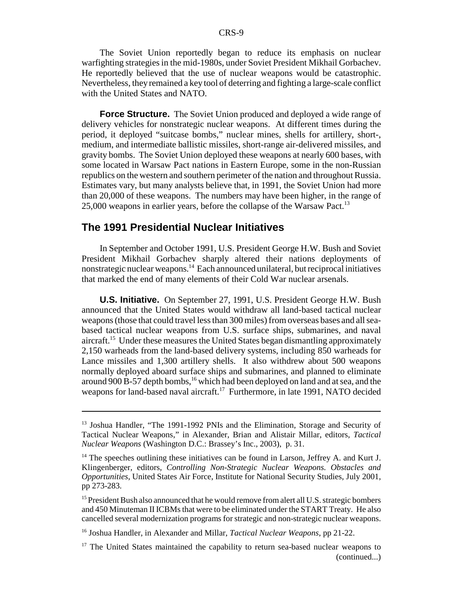The Soviet Union reportedly began to reduce its emphasis on nuclear warfighting strategies in the mid-1980s, under Soviet President Mikhail Gorbachev. He reportedly believed that the use of nuclear weapons would be catastrophic. Nevertheless, they remained a key tool of deterring and fighting a large-scale conflict with the United States and NATO.

**Force Structure.** The Soviet Union produced and deployed a wide range of delivery vehicles for nonstrategic nuclear weapons. At different times during the period, it deployed "suitcase bombs," nuclear mines, shells for artillery, short-, medium, and intermediate ballistic missiles, short-range air-delivered missiles, and gravity bombs. The Soviet Union deployed these weapons at nearly 600 bases, with some located in Warsaw Pact nations in Eastern Europe, some in the non-Russian republics on the western and southern perimeter of the nation and throughout Russia. Estimates vary, but many analysts believe that, in 1991, the Soviet Union had more than 20,000 of these weapons. The numbers may have been higher, in the range of 25,000 weapons in earlier years, before the collapse of the Warsaw Pact.<sup>13</sup>

#### **The 1991 Presidential Nuclear Initiatives**

In September and October 1991, U.S. President George H.W. Bush and Soviet President Mikhail Gorbachev sharply altered their nations deployments of nonstrategic nuclear weapons.<sup>14</sup> Each announced unilateral, but reciprocal initiatives that marked the end of many elements of their Cold War nuclear arsenals.

**U.S. Initiative.** On September 27, 1991, U.S. President George H.W. Bush announced that the United States would withdraw all land-based tactical nuclear weapons (those that could travel less than 300 miles) from overseas bases and all seabased tactical nuclear weapons from U.S. surface ships, submarines, and naval aircraft.<sup>15</sup> Under these measures the United States began dismantling approximately 2,150 warheads from the land-based delivery systems, including 850 warheads for Lance missiles and 1,300 artillery shells. It also withdrew about 500 weapons normally deployed aboard surface ships and submarines, and planned to eliminate around 900  $\overline{B}$ -57 depth bombs,<sup>16</sup> which had been deployed on land and at sea, and the weapons for land-based naval aircraft.<sup>17</sup> Furthermore, in late 1991, NATO decided

<sup>&</sup>lt;sup>13</sup> Joshua Handler, "The 1991-1992 PNIs and the Elimination, Storage and Security of Tactical Nuclear Weapons," in Alexander, Brian and Alistair Millar, editors, *Tactical Nuclear Weapons* (Washington D.C.: Brassey's Inc., 2003), p. 31.

 $14$  The speeches outlining these initiatives can be found in Larson, Jeffrey A. and Kurt J. Klingenberger, editors, *Controlling Non-Strategic Nuclear Weapons. Obstacles and Opportunities*, United States Air Force, Institute for National Security Studies, July 2001, pp 273-283.

 $15$  President Bush also announced that he would remove from alert all U.S. strategic bombers and 450 Minuteman II ICBMs that were to be eliminated under the START Treaty. He also cancelled several modernization programs for strategic and non-strategic nuclear weapons.

<sup>16</sup> Joshua Handler, in Alexander and Millar, *Tactical Nuclear Weapons*, pp 21-22.

 $17$  The United States maintained the capability to return sea-based nuclear weapons to (continued...)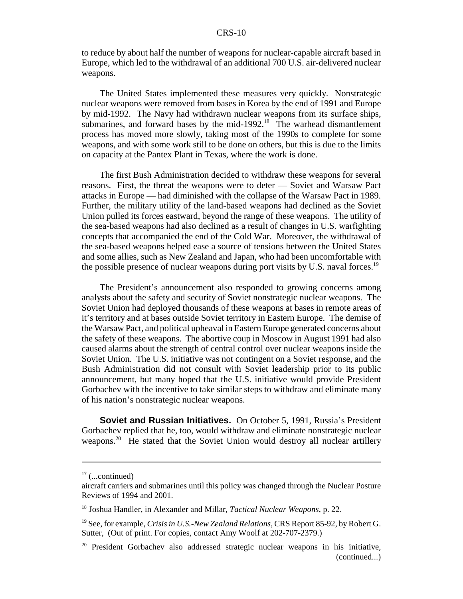to reduce by about half the number of weapons for nuclear-capable aircraft based in Europe, which led to the withdrawal of an additional 700 U.S. air-delivered nuclear weapons.

The United States implemented these measures very quickly. Nonstrategic nuclear weapons were removed from bases in Korea by the end of 1991 and Europe by mid-1992. The Navy had withdrawn nuclear weapons from its surface ships, submarines, and forward bases by the mid-1992.<sup>18</sup> The warhead dismantlement process has moved more slowly, taking most of the 1990s to complete for some weapons, and with some work still to be done on others, but this is due to the limits on capacity at the Pantex Plant in Texas, where the work is done.

The first Bush Administration decided to withdraw these weapons for several reasons. First, the threat the weapons were to deter — Soviet and Warsaw Pact attacks in Europe — had diminished with the collapse of the Warsaw Pact in 1989. Further, the military utility of the land-based weapons had declined as the Soviet Union pulled its forces eastward, beyond the range of these weapons. The utility of the sea-based weapons had also declined as a result of changes in U.S. warfighting concepts that accompanied the end of the Cold War. Moreover, the withdrawal of the sea-based weapons helped ease a source of tensions between the United States and some allies, such as New Zealand and Japan, who had been uncomfortable with the possible presence of nuclear weapons during port visits by U.S. naval forces.<sup>19</sup>

The President's announcement also responded to growing concerns among analysts about the safety and security of Soviet nonstrategic nuclear weapons. The Soviet Union had deployed thousands of these weapons at bases in remote areas of it's territory and at bases outside Soviet territory in Eastern Europe. The demise of the Warsaw Pact, and political upheaval in Eastern Europe generated concerns about the safety of these weapons. The abortive coup in Moscow in August 1991 had also caused alarms about the strength of central control over nuclear weapons inside the Soviet Union. The U.S. initiative was not contingent on a Soviet response, and the Bush Administration did not consult with Soviet leadership prior to its public announcement, but many hoped that the U.S. initiative would provide President Gorbachev with the incentive to take similar steps to withdraw and eliminate many of his nation's nonstrategic nuclear weapons.

**Soviet and Russian Initiatives.** On October 5, 1991, Russia's President Gorbachev replied that he, too, would withdraw and eliminate nonstrategic nuclear weapons.<sup>20</sup> He stated that the Soviet Union would destroy all nuclear artillery

 $17$  (...continued)

aircraft carriers and submarines until this policy was changed through the Nuclear Posture Reviews of 1994 and 2001.

<sup>18</sup> Joshua Handler, in Alexander and Millar, *Tactical Nuclear Weapons*, p. 22.

<sup>19</sup> See, for example, *Crisis in U.S.-New Zealand Relations*, CRS Report 85-92, by Robert G. Sutter, (Out of print. For copies, contact Amy Woolf at 202-707-2379.)

<sup>&</sup>lt;sup>20</sup> President Gorbachev also addressed strategic nuclear weapons in his initiative, (continued...)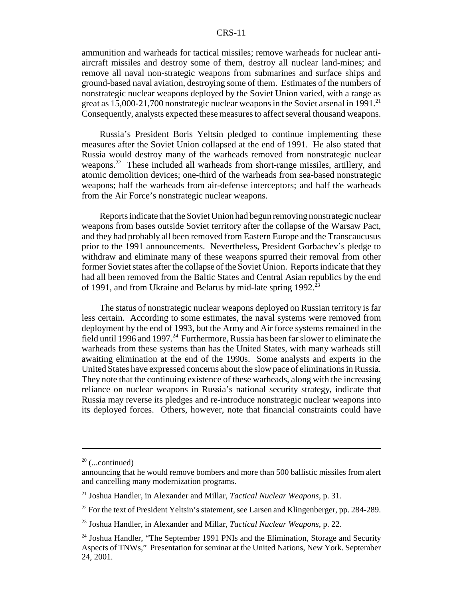ammunition and warheads for tactical missiles; remove warheads for nuclear antiaircraft missiles and destroy some of them, destroy all nuclear land-mines; and remove all naval non-strategic weapons from submarines and surface ships and ground-based naval aviation, destroying some of them. Estimates of the numbers of nonstrategic nuclear weapons deployed by the Soviet Union varied, with a range as great as  $15,000-21,700$  nonstrategic nuclear weapons in the Soviet arsenal in 1991.<sup>21</sup> Consequently, analysts expected these measures to affect several thousand weapons.

Russia's President Boris Yeltsin pledged to continue implementing these measures after the Soviet Union collapsed at the end of 1991. He also stated that Russia would destroy many of the warheads removed from nonstrategic nuclear weapons.<sup>22</sup> These included all warheads from short-range missiles, artillery, and atomic demolition devices; one-third of the warheads from sea-based nonstrategic weapons; half the warheads from air-defense interceptors; and half the warheads from the Air Force's nonstrategic nuclear weapons.

Reports indicate that the Soviet Union had begun removing nonstrategic nuclear weapons from bases outside Soviet territory after the collapse of the Warsaw Pact, and they had probably all been removed from Eastern Europe and the Transcaucusus prior to the 1991 announcements. Nevertheless, President Gorbachev's pledge to withdraw and eliminate many of these weapons spurred their removal from other former Soviet states after the collapse of the Soviet Union. Reports indicate that they had all been removed from the Baltic States and Central Asian republics by the end of 1991, and from Ukraine and Belarus by mid-late spring  $1992$ <sup>2</sup>

The status of nonstrategic nuclear weapons deployed on Russian territory is far less certain. According to some estimates, the naval systems were removed from deployment by the end of 1993, but the Army and Air force systems remained in the field until 1996 and 1997.<sup>24</sup> Furthermore, Russia has been far slower to eliminate the warheads from these systems than has the United States, with many warheads still awaiting elimination at the end of the 1990s. Some analysts and experts in the United States have expressed concerns about the slow pace of eliminations in Russia. They note that the continuing existence of these warheads, along with the increasing reliance on nuclear weapons in Russia's national security strategy, indicate that Russia may reverse its pledges and re-introduce nonstrategic nuclear weapons into its deployed forces. Others, however, note that financial constraints could have

 $20$  (...continued)

announcing that he would remove bombers and more than 500 ballistic missiles from alert and cancelling many modernization programs.

<sup>21</sup> Joshua Handler, in Alexander and Millar, *Tactical Nuclear Weapons*, p. 31.

 $22$  For the text of President Yeltsin's statement, see Larsen and Klingenberger, pp. 284-289.

<sup>23</sup> Joshua Handler, in Alexander and Millar, *Tactical Nuclear Weapons*, p. 22.

<sup>&</sup>lt;sup>24</sup> Joshua Handler, "The September 1991 PNIs and the Elimination, Storage and Security Aspects of TNWs," Presentation for seminar at the United Nations, New York. September 24, 2001.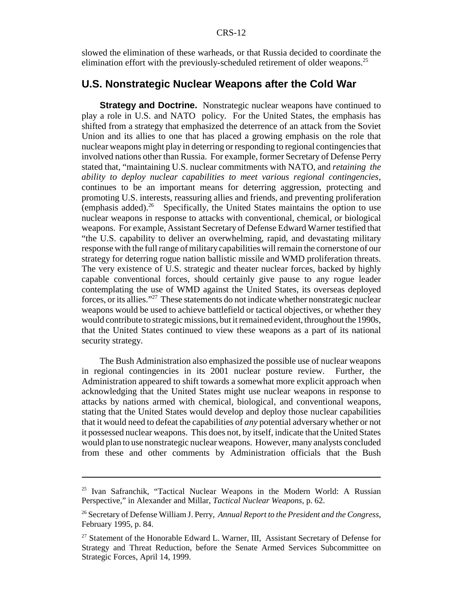slowed the elimination of these warheads, or that Russia decided to coordinate the elimination effort with the previously-scheduled retirement of older weapons.<sup>25</sup>

## **U.S. Nonstrategic Nuclear Weapons after the Cold War**

**Strategy and Doctrine.** Nonstrategic nuclear weapons have continued to play a role in U.S. and NATO policy. For the United States, the emphasis has shifted from a strategy that emphasized the deterrence of an attack from the Soviet Union and its allies to one that has placed a growing emphasis on the role that nuclear weapons might play in deterring or responding to regional contingencies that involved nations other than Russia. For example, former Secretary of Defense Perry stated that, "maintaining U.S. nuclear commitments with NATO, and *retaining the ability to deploy nuclear capabilities to meet various regional contingencies*, continues to be an important means for deterring aggression, protecting and promoting U.S. interests, reassuring allies and friends, and preventing proliferation (emphasis added).<sup>26</sup> Specifically, the United States maintains the option to use nuclear weapons in response to attacks with conventional, chemical, or biological weapons. For example, Assistant Secretary of Defense Edward Warner testified that "the U.S. capability to deliver an overwhelming, rapid, and devastating military response with the full range of military capabilities will remain the cornerstone of our strategy for deterring rogue nation ballistic missile and WMD proliferation threats. The very existence of U.S. strategic and theater nuclear forces, backed by highly capable conventional forces, should certainly give pause to any rogue leader contemplating the use of WMD against the United States, its overseas deployed forces, or its allies."27 These statements do not indicate whether nonstrategic nuclear weapons would be used to achieve battlefield or tactical objectives, or whether they would contribute to strategic missions, but it remained evident, throughout the 1990s, that the United States continued to view these weapons as a part of its national security strategy.

The Bush Administration also emphasized the possible use of nuclear weapons in regional contingencies in its 2001 nuclear posture review. Further, the Administration appeared to shift towards a somewhat more explicit approach when acknowledging that the United States might use nuclear weapons in response to attacks by nations armed with chemical, biological, and conventional weapons, stating that the United States would develop and deploy those nuclear capabilities that it would need to defeat the capabilities of *any* potential adversary whether or not it possessed nuclear weapons. This does not, by itself, indicate that the United States would plan to use nonstrategic nuclear weapons. However, many analysts concluded from these and other comments by Administration officials that the Bush

<sup>&</sup>lt;sup>25</sup> Ivan Safranchik, "Tactical Nuclear Weapons in the Modern World: A Russian Perspective," in Alexander and Millar, *Tactical Nuclear Weapons*, p. 62.

<sup>26</sup> Secretary of Defense William J. Perry, *Annual Report to the President and the Congress*, February 1995, p. 84.

<sup>&</sup>lt;sup>27</sup> Statement of the Honorable Edward L. Warner, III, Assistant Secretary of Defense for Strategy and Threat Reduction, before the Senate Armed Services Subcommittee on Strategic Forces, April 14, 1999.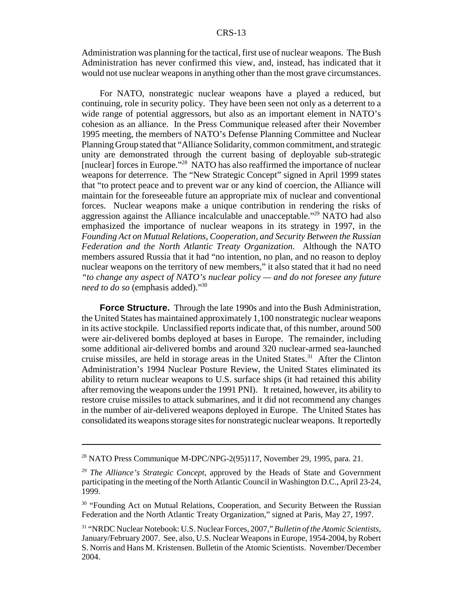Administration was planning for the tactical, first use of nuclear weapons. The Bush Administration has never confirmed this view, and, instead, has indicated that it would not use nuclear weapons in anything other than the most grave circumstances.

For NATO, nonstrategic nuclear weapons have a played a reduced, but continuing, role in security policy. They have been seen not only as a deterrent to a wide range of potential aggressors, but also as an important element in NATO's cohesion as an alliance. In the Press Communique released after their November 1995 meeting, the members of NATO's Defense Planning Committee and Nuclear Planning Group stated that "Alliance Solidarity, common commitment, and strategic unity are demonstrated through the current basing of deployable sub-strategic [nuclear] forces in Europe."<sup>28</sup> NATO has also reaffirmed the importance of nuclear weapons for deterrence. The "New Strategic Concept" signed in April 1999 states that "to protect peace and to prevent war or any kind of coercion, the Alliance will maintain for the foreseeable future an appropriate mix of nuclear and conventional forces. Nuclear weapons make a unique contribution in rendering the risks of aggression against the Alliance incalculable and unacceptable."<sup>29</sup> NATO had also emphasized the importance of nuclear weapons in its strategy in 1997, in the *Founding Act on Mutual Relations, Cooperation, and Security Between the Russian Federation and the North Atlantic Treaty Organization.* Although the NATO members assured Russia that it had "no intention, no plan, and no reason to deploy nuclear weapons on the territory of new members," it also stated that it had no need *"to change any aspect of NATO's nuclear policy — and do not foresee any future need to do so* (emphasis added)."30

**Force Structure.** Through the late 1990s and into the Bush Administration, the United States has maintained approximately 1,100 nonstrategic nuclear weapons in its active stockpile. Unclassified reports indicate that, of this number, around 500 were air-delivered bombs deployed at bases in Europe. The remainder, including some additional air-delivered bombs and around 320 nuclear-armed sea-launched cruise missiles, are held in storage areas in the United States.<sup>31</sup> After the Clinton Administration's 1994 Nuclear Posture Review, the United States eliminated its ability to return nuclear weapons to U.S. surface ships (it had retained this ability after removing the weapons under the 1991 PNI). It retained, however, its ability to restore cruise missiles to attack submarines, and it did not recommend any changes in the number of air-delivered weapons deployed in Europe. The United States has consolidated its weapons storage sites for nonstrategic nuclear weapons. It reportedly

<sup>28</sup> NATO Press Communique M-DPC/NPG-2(95)117, November 29, 1995, para. 21.

<sup>29</sup> *The Alliance's Strategic Concept*, approved by the Heads of State and Government participating in the meeting of the North Atlantic Council in Washington D.C., April 23-24, 1999.

<sup>&</sup>lt;sup>30</sup> "Founding Act on Mutual Relations, Cooperation, and Security Between the Russian Federation and the North Atlantic Treaty Organization," signed at Paris, May 27, 1997.

<sup>31 &</sup>quot;NRDC Nuclear Notebook: U.S. Nuclear Forces, 2007," *Bulletin of the Atomic Scientists*, January/February 2007. See, also, U.S. Nuclear Weapons in Europe, 1954-2004, by Robert S. Norris and Hans M. Kristensen. Bulletin of the Atomic Scientists. November/December 2004.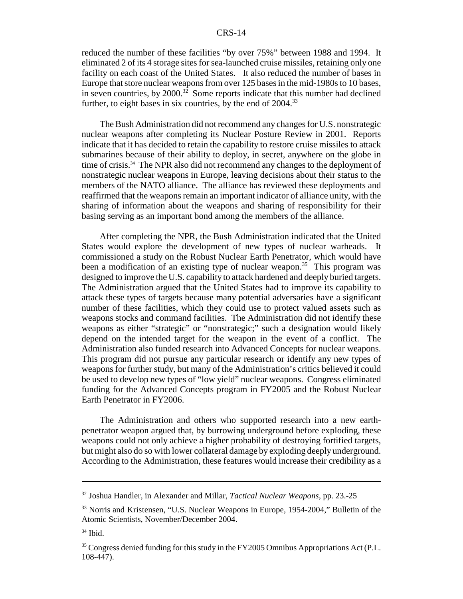reduced the number of these facilities "by over 75%" between 1988 and 1994. It eliminated 2 of its 4 storage sites for sea-launched cruise missiles, retaining only one facility on each coast of the United States. It also reduced the number of bases in Europe that store nuclear weapons from over 125 bases in the mid-1980s to 10 bases, in seven countries, by  $2000^{32}$  Some reports indicate that this number had declined further, to eight bases in six countries, by the end of  $2004$ <sup>33</sup>

The Bush Administration did not recommend any changes for U.S. nonstrategic nuclear weapons after completing its Nuclear Posture Review in 2001. Reports indicate that it has decided to retain the capability to restore cruise missiles to attack submarines because of their ability to deploy, in secret, anywhere on the globe in time of crisis.<sup>34</sup> The NPR also did not recommend any changes to the deployment of nonstrategic nuclear weapons in Europe, leaving decisions about their status to the members of the NATO alliance. The alliance has reviewed these deployments and reaffirmed that the weapons remain an important indicator of alliance unity, with the sharing of information about the weapons and sharing of responsibility for their basing serving as an important bond among the members of the alliance.

After completing the NPR, the Bush Administration indicated that the United States would explore the development of new types of nuclear warheads. It commissioned a study on the Robust Nuclear Earth Penetrator, which would have been a modification of an existing type of nuclear weapon.<sup>35</sup> This program was designed to improve the U.S. capability to attack hardened and deeply buried targets. The Administration argued that the United States had to improve its capability to attack these types of targets because many potential adversaries have a significant number of these facilities, which they could use to protect valued assets such as weapons stocks and command facilities. The Administration did not identify these weapons as either "strategic" or "nonstrategic;" such a designation would likely depend on the intended target for the weapon in the event of a conflict. The Administration also funded research into Advanced Concepts for nuclear weapons. This program did not pursue any particular research or identify any new types of weapons for further study, but many of the Administration's critics believed it could be used to develop new types of "low yield" nuclear weapons. Congress eliminated funding for the Advanced Concepts program in FY2005 and the Robust Nuclear Earth Penetrator in FY2006.

The Administration and others who supported research into a new earthpenetrator weapon argued that, by burrowing underground before exploding, these weapons could not only achieve a higher probability of destroying fortified targets, but might also do so with lower collateral damage by exploding deeply underground. According to the Administration, these features would increase their credibility as a

<sup>32</sup> Joshua Handler, in Alexander and Millar, *Tactical Nuclear Weapons*, pp. 23.-25

<sup>33</sup> Norris and Kristensen, "U.S. Nuclear Weapons in Europe, 1954-2004," Bulletin of the Atomic Scientists, November/December 2004.

 $34$  Ibid.

<sup>&</sup>lt;sup>35</sup> Congress denied funding for this study in the FY2005 Omnibus Appropriations Act (P.L. 108-447).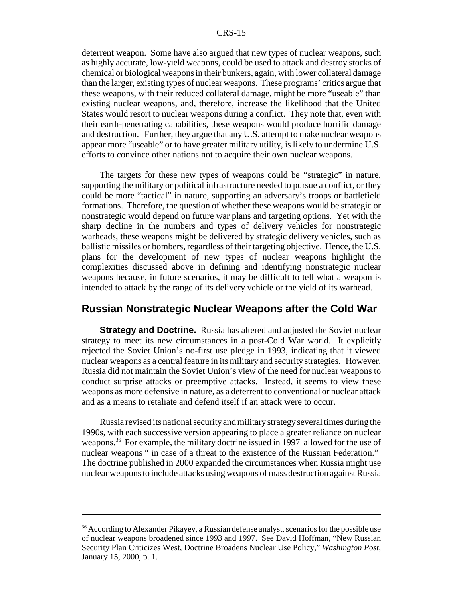deterrent weapon. Some have also argued that new types of nuclear weapons, such as highly accurate, low-yield weapons, could be used to attack and destroy stocks of chemical or biological weapons in their bunkers, again, with lower collateral damage than the larger, existing types of nuclear weapons. These programs' critics argue that these weapons, with their reduced collateral damage, might be more "useable" than existing nuclear weapons, and, therefore, increase the likelihood that the United States would resort to nuclear weapons during a conflict. They note that, even with their earth-penetrating capabilities, these weapons would produce horrific damage and destruction. Further, they argue that any U.S. attempt to make nuclear weapons appear more "useable" or to have greater military utility, is likely to undermine U.S. efforts to convince other nations not to acquire their own nuclear weapons.

The targets for these new types of weapons could be "strategic" in nature, supporting the military or political infrastructure needed to pursue a conflict, or they could be more "tactical" in nature, supporting an adversary's troops or battlefield formations. Therefore, the question of whether these weapons would be strategic or nonstrategic would depend on future war plans and targeting options. Yet with the sharp decline in the numbers and types of delivery vehicles for nonstrategic warheads, these weapons might be delivered by strategic delivery vehicles, such as ballistic missiles or bombers, regardless of their targeting objective. Hence, the U.S. plans for the development of new types of nuclear weapons highlight the complexities discussed above in defining and identifying nonstrategic nuclear weapons because, in future scenarios, it may be difficult to tell what a weapon is intended to attack by the range of its delivery vehicle or the yield of its warhead.

### **Russian Nonstrategic Nuclear Weapons after the Cold War**

**Strategy and Doctrine.** Russia has altered and adjusted the Soviet nuclear strategy to meet its new circumstances in a post-Cold War world. It explicitly rejected the Soviet Union's no-first use pledge in 1993, indicating that it viewed nuclear weapons as a central feature in its military and security strategies. However, Russia did not maintain the Soviet Union's view of the need for nuclear weapons to conduct surprise attacks or preemptive attacks. Instead, it seems to view these weapons as more defensive in nature, as a deterrent to conventional or nuclear attack and as a means to retaliate and defend itself if an attack were to occur.

Russia revised its national security and military strategy several times during the 1990s, with each successive version appearing to place a greater reliance on nuclear weapons.<sup>36</sup> For example, the military doctrine issued in 1997 allowed for the use of nuclear weapons " in case of a threat to the existence of the Russian Federation." The doctrine published in 2000 expanded the circumstances when Russia might use nuclear weapons to include attacks using weapons of mass destruction against Russia

<sup>&</sup>lt;sup>36</sup> According to Alexander Pikayev, a Russian defense analyst, scenarios for the possible use of nuclear weapons broadened since 1993 and 1997. See David Hoffman, "New Russian Security Plan Criticizes West, Doctrine Broadens Nuclear Use Policy," *Washington Post*, January 15, 2000, p. 1.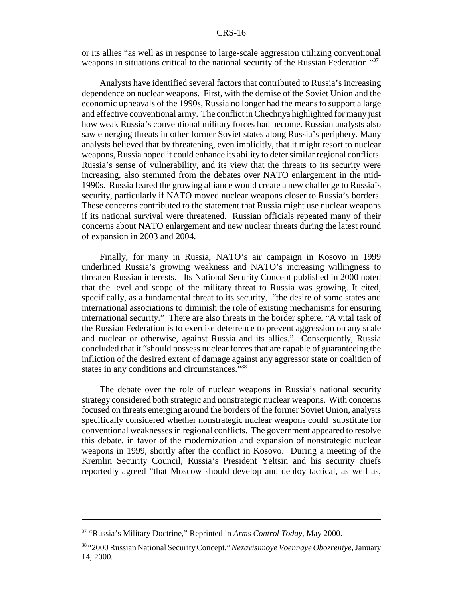or its allies "as well as in response to large-scale aggression utilizing conventional weapons in situations critical to the national security of the Russian Federation."<sup>37</sup>

Analysts have identified several factors that contributed to Russia's increasing dependence on nuclear weapons. First, with the demise of the Soviet Union and the economic upheavals of the 1990s, Russia no longer had the means to support a large and effective conventional army. The conflict in Chechnya highlighted for many just how weak Russia's conventional military forces had become. Russian analysts also saw emerging threats in other former Soviet states along Russia's periphery. Many analysts believed that by threatening, even implicitly, that it might resort to nuclear weapons, Russia hoped it could enhance its ability to deter similar regional conflicts. Russia's sense of vulnerability, and its view that the threats to its security were increasing, also stemmed from the debates over NATO enlargement in the mid-1990s. Russia feared the growing alliance would create a new challenge to Russia's security, particularly if NATO moved nuclear weapons closer to Russia's borders. These concerns contributed to the statement that Russia might use nuclear weapons if its national survival were threatened. Russian officials repeated many of their concerns about NATO enlargement and new nuclear threats during the latest round of expansion in 2003 and 2004.

Finally, for many in Russia, NATO's air campaign in Kosovo in 1999 underlined Russia's growing weakness and NATO's increasing willingness to threaten Russian interests. Its National Security Concept published in 2000 noted that the level and scope of the military threat to Russia was growing. It cited, specifically, as a fundamental threat to its security, "the desire of some states and international associations to diminish the role of existing mechanisms for ensuring international security." There are also threats in the border sphere. "A vital task of the Russian Federation is to exercise deterrence to prevent aggression on any scale and nuclear or otherwise, against Russia and its allies." Consequently, Russia concluded that it "should possess nuclear forces that are capable of guaranteeing the infliction of the desired extent of damage against any aggressor state or coalition of states in any conditions and circumstances."<sup>38</sup>

The debate over the role of nuclear weapons in Russia's national security strategy considered both strategic and nonstrategic nuclear weapons. With concerns focused on threats emerging around the borders of the former Soviet Union, analysts specifically considered whether nonstrategic nuclear weapons could substitute for conventional weaknesses in regional conflicts. The government appeared to resolve this debate, in favor of the modernization and expansion of nonstrategic nuclear weapons in 1999, shortly after the conflict in Kosovo. During a meeting of the Kremlin Security Council, Russia's President Yeltsin and his security chiefs reportedly agreed "that Moscow should develop and deploy tactical, as well as,

<sup>37 &</sup>quot;Russia's Military Doctrine," Reprinted in *Arms Control Today*, May 2000.

<sup>38 &</sup>quot;2000 Russian National Security Concept," *Nezavisimoye Voennaye Obozreniye*, January 14, 2000.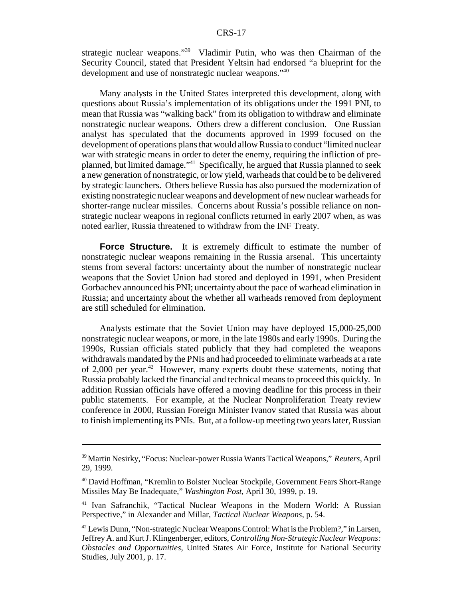strategic nuclear weapons."39 Vladimir Putin, who was then Chairman of the Security Council, stated that President Yeltsin had endorsed "a blueprint for the development and use of nonstrategic nuclear weapons."40

Many analysts in the United States interpreted this development, along with questions about Russia's implementation of its obligations under the 1991 PNI, to mean that Russia was "walking back" from its obligation to withdraw and eliminate nonstrategic nuclear weapons. Others drew a different conclusion. One Russian analyst has speculated that the documents approved in 1999 focused on the development of operations plans that would allow Russia to conduct "limited nuclear war with strategic means in order to deter the enemy, requiring the infliction of preplanned, but limited damage."41 Specifically, he argued that Russia planned to seek a new generation of nonstrategic, or low yield, warheads that could be to be delivered by strategic launchers. Others believe Russia has also pursued the modernization of existing nonstrategic nuclear weapons and development of new nuclear warheads for shorter-range nuclear missiles. Concerns about Russia's possible reliance on nonstrategic nuclear weapons in regional conflicts returned in early 2007 when, as was noted earlier, Russia threatened to withdraw from the INF Treaty.

**Force Structure.** It is extremely difficult to estimate the number of nonstrategic nuclear weapons remaining in the Russia arsenal. This uncertainty stems from several factors: uncertainty about the number of nonstrategic nuclear weapons that the Soviet Union had stored and deployed in 1991, when President Gorbachev announced his PNI; uncertainty about the pace of warhead elimination in Russia; and uncertainty about the whether all warheads removed from deployment are still scheduled for elimination.

Analysts estimate that the Soviet Union may have deployed 15,000-25,000 nonstrategic nuclear weapons, or more, in the late 1980s and early 1990s. During the 1990s, Russian officials stated publicly that they had completed the weapons withdrawals mandated by the PNIs and had proceeded to eliminate warheads at a rate of 2,000 per year.<sup>42</sup> However, many experts doubt these statements, noting that Russia probably lacked the financial and technical means to proceed this quickly. In addition Russian officials have offered a moving deadline for this process in their public statements. For example, at the Nuclear Nonproliferation Treaty review conference in 2000, Russian Foreign Minister Ivanov stated that Russia was about to finish implementing its PNIs. But, at a follow-up meeting two years later, Russian

<sup>39</sup> Martin Nesirky, "Focus: Nuclear-power Russia Wants Tactical Weapons," *Reuters*, April 29, 1999.

<sup>40</sup> David Hoffman, "Kremlin to Bolster Nuclear Stockpile, Government Fears Short-Range Missiles May Be Inadequate," *Washington Post*, April 30, 1999, p. 19.

<sup>41</sup> Ivan Safranchik, "Tactical Nuclear Weapons in the Modern World: A Russian Perspective," in Alexander and Millar, *Tactical Nuclear Weapons*, p. 54.

 $42$  Lewis Dunn, "Non-strategic Nuclear Weapons Control: What is the Problem?," in Larsen, Jeffrey A. and Kurt J. Klingenberger, editors, *Controlling Non-Strategic Nuclear Weapons: Obstacles and Opportunities*, United States Air Force, Institute for National Security Studies, July 2001, p. 17.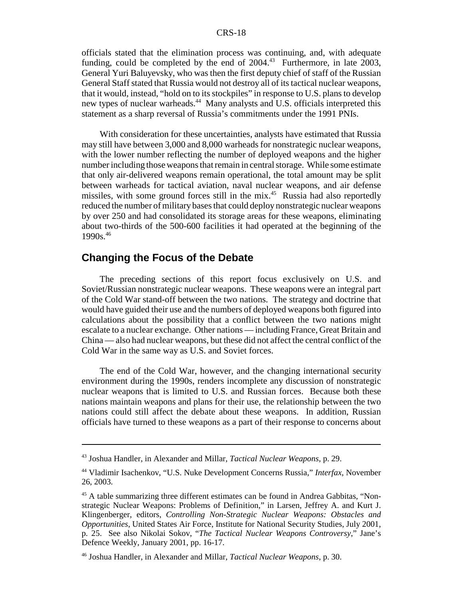officials stated that the elimination process was continuing, and, with adequate funding, could be completed by the end of  $2004<sup>43</sup>$  Furthermore, in late 2003, General Yuri Baluyevsky, who was then the first deputy chief of staff of the Russian General Staff stated that Russia would not destroy all of its tactical nuclear weapons, that it would, instead, "hold on to its stockpiles" in response to U.S. plans to develop new types of nuclear warheads.<sup>44</sup> Many analysts and U.S. officials interpreted this statement as a sharp reversal of Russia's commitments under the 1991 PNIs.

With consideration for these uncertainties, analysts have estimated that Russia may still have between 3,000 and 8,000 warheads for nonstrategic nuclear weapons, with the lower number reflecting the number of deployed weapons and the higher number including those weapons that remain in central storage. While some estimate that only air-delivered weapons remain operational, the total amount may be split between warheads for tactical aviation, naval nuclear weapons, and air defense missiles, with some ground forces still in the mix.<sup>45</sup> Russia had also reportedly reduced the number of military bases that could deploy nonstrategic nuclear weapons by over 250 and had consolidated its storage areas for these weapons, eliminating about two-thirds of the 500-600 facilities it had operated at the beginning of the 1990s.<sup>46</sup>

## **Changing the Focus of the Debate**

The preceding sections of this report focus exclusively on U.S. and Soviet/Russian nonstrategic nuclear weapons. These weapons were an integral part of the Cold War stand-off between the two nations. The strategy and doctrine that would have guided their use and the numbers of deployed weapons both figured into calculations about the possibility that a conflict between the two nations might escalate to a nuclear exchange. Other nations — including France, Great Britain and China — also had nuclear weapons, but these did not affect the central conflict of the Cold War in the same way as U.S. and Soviet forces.

The end of the Cold War, however, and the changing international security environment during the 1990s, renders incomplete any discussion of nonstrategic nuclear weapons that is limited to U.S. and Russian forces. Because both these nations maintain weapons and plans for their use, the relationship between the two nations could still affect the debate about these weapons. In addition, Russian officials have turned to these weapons as a part of their response to concerns about

<sup>43</sup> Joshua Handler, in Alexander and Millar, *Tactical Nuclear Weapons*, p. 29.

<sup>44</sup> Vladimir Isachenkov, "U.S. Nuke Development Concerns Russia," *Interfax*, November 26, 2003.

<sup>&</sup>lt;sup>45</sup> A table summarizing three different estimates can be found in Andrea Gabbitas, "Nonstrategic Nuclear Weapons: Problems of Definition," in Larsen, Jeffrey A. and Kurt J. Klingenberger, editors, *Controlling Non-Strategic Nuclear Weapons: Obstacles and Opportunities*, United States Air Force, Institute for National Security Studies, July 2001, p. 25. See also Nikolai Sokov, "*The Tactical Nuclear Weapons Controversy*," Jane's Defence Weekly, January 2001, pp. 16-17.

<sup>46</sup> Joshua Handler, in Alexander and Millar, *Tactical Nuclear Weapons*, p. 30.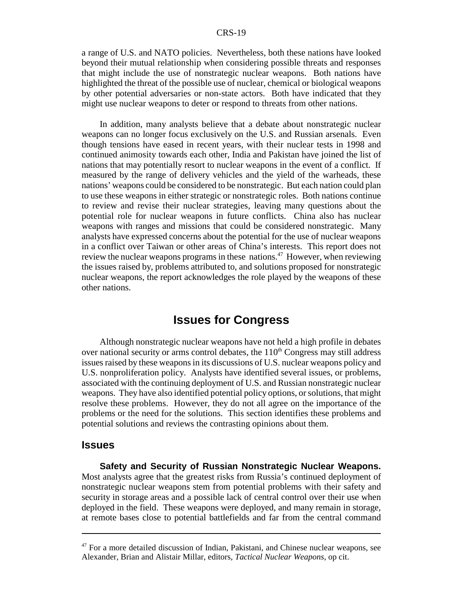a range of U.S. and NATO policies. Nevertheless, both these nations have looked beyond their mutual relationship when considering possible threats and responses that might include the use of nonstrategic nuclear weapons. Both nations have highlighted the threat of the possible use of nuclear, chemical or biological weapons by other potential adversaries or non-state actors. Both have indicated that they might use nuclear weapons to deter or respond to threats from other nations.

In addition, many analysts believe that a debate about nonstrategic nuclear weapons can no longer focus exclusively on the U.S. and Russian arsenals. Even though tensions have eased in recent years, with their nuclear tests in 1998 and continued animosity towards each other, India and Pakistan have joined the list of nations that may potentially resort to nuclear weapons in the event of a conflict. If measured by the range of delivery vehicles and the yield of the warheads, these nations' weapons could be considered to be nonstrategic. But each nation could plan to use these weapons in either strategic or nonstrategic roles. Both nations continue to review and revise their nuclear strategies, leaving many questions about the potential role for nuclear weapons in future conflicts. China also has nuclear weapons with ranges and missions that could be considered nonstrategic. Many analysts have expressed concerns about the potential for the use of nuclear weapons in a conflict over Taiwan or other areas of China's interests. This report does not review the nuclear weapons programs in these nations.<sup>47</sup> However, when reviewing the issues raised by, problems attributed to, and solutions proposed for nonstrategic nuclear weapons, the report acknowledges the role played by the weapons of these other nations.

## **Issues for Congress**

Although nonstrategic nuclear weapons have not held a high profile in debates over national security or arms control debates, the  $110<sup>th</sup>$  Congress may still address issues raised by these weapons in its discussions of U.S. nuclear weapons policy and U.S. nonproliferation policy. Analysts have identified several issues, or problems, associated with the continuing deployment of U.S. and Russian nonstrategic nuclear weapons. They have also identified potential policy options, or solutions, that might resolve these problems. However, they do not all agree on the importance of the problems or the need for the solutions. This section identifies these problems and potential solutions and reviews the contrasting opinions about them.

#### **Issues**

**Safety and Security of Russian Nonstrategic Nuclear Weapons.** Most analysts agree that the greatest risks from Russia's continued deployment of nonstrategic nuclear weapons stem from potential problems with their safety and security in storage areas and a possible lack of central control over their use when deployed in the field. These weapons were deployed, and many remain in storage, at remote bases close to potential battlefields and far from the central command

 $47$  For a more detailed discussion of Indian, Pakistani, and Chinese nuclear weapons, see Alexander, Brian and Alistair Millar, editors, *Tactical Nuclear Weapons*, op cit.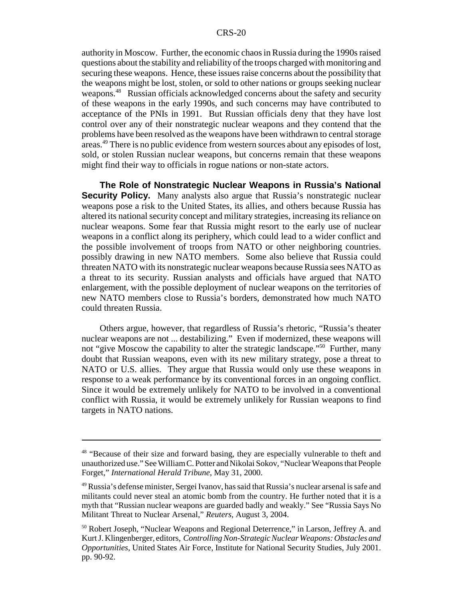authority in Moscow. Further, the economic chaos in Russia during the 1990s raised questions about the stability and reliability of the troops charged with monitoring and securing these weapons. Hence, these issues raise concerns about the possibility that the weapons might be lost, stolen, or sold to other nations or groups seeking nuclear weapons.<sup>48</sup> Russian officials acknowledged concerns about the safety and security of these weapons in the early 1990s, and such concerns may have contributed to acceptance of the PNIs in 1991. But Russian officials deny that they have lost control over any of their nonstrategic nuclear weapons and they contend that the problems have been resolved as the weapons have been withdrawn to central storage areas.49 There is no public evidence from western sources about any episodes of lost, sold, or stolen Russian nuclear weapons, but concerns remain that these weapons might find their way to officials in rogue nations or non-state actors.

**The Role of Nonstrategic Nuclear Weapons in Russia's National Security Policy.** Many analysts also argue that Russia's nonstrategic nuclear weapons pose a risk to the United States, its allies, and others because Russia has altered its national security concept and military strategies, increasing its reliance on nuclear weapons. Some fear that Russia might resort to the early use of nuclear weapons in a conflict along its periphery, which could lead to a wider conflict and the possible involvement of troops from NATO or other neighboring countries. possibly drawing in new NATO members. Some also believe that Russia could threaten NATO with its nonstrategic nuclear weapons because Russia sees NATO as a threat to its security. Russian analysts and officials have argued that NATO enlargement, with the possible deployment of nuclear weapons on the territories of new NATO members close to Russia's borders, demonstrated how much NATO could threaten Russia.

Others argue, however, that regardless of Russia's rhetoric, "Russia's theater nuclear weapons are not ... destabilizing." Even if modernized, these weapons will not "give Moscow the capability to alter the strategic landscape."<sup>50</sup> Further, many doubt that Russian weapons, even with its new military strategy, pose a threat to NATO or U.S. allies. They argue that Russia would only use these weapons in response to a weak performance by its conventional forces in an ongoing conflict. Since it would be extremely unlikely for NATO to be involved in a conventional conflict with Russia, it would be extremely unlikely for Russian weapons to find targets in NATO nations.

<sup>&</sup>lt;sup>48</sup> "Because of their size and forward basing, they are especially vulnerable to theft and unauthorized use." See William C. Potter and Nikolai Sokov, "Nuclear Weapons that People Forget," *International Herald Tribune*, May 31, 2000.

<sup>49</sup> Russia's defense minister, Sergei Ivanov, has said that Russia's nuclear arsenal is safe and militants could never steal an atomic bomb from the country. He further noted that it is a myth that "Russian nuclear weapons are guarded badly and weakly." See "Russia Says No Militant Threat to Nuclear Arsenal," *Reuters*, August 3, 2004.

<sup>&</sup>lt;sup>50</sup> Robert Joseph, "Nuclear Weapons and Regional Deterrence," in Larson, Jeffrey A. and Kurt J. Klingenberger, editors, *Controlling Non-Strategic Nuclear Weapons: Obstacles and Opportunities*, United States Air Force, Institute for National Security Studies, July 2001. pp. 90-92.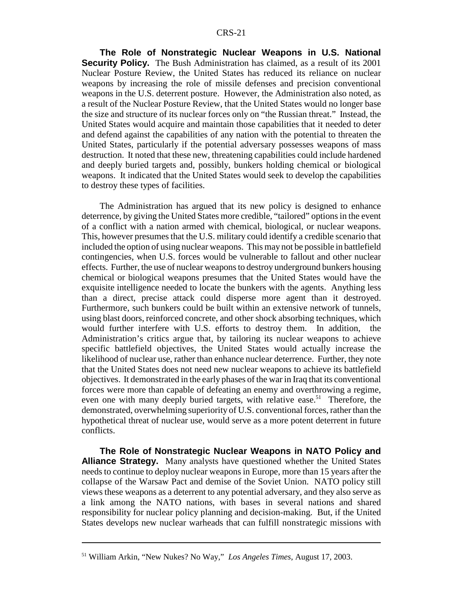**The Role of Nonstrategic Nuclear Weapons in U.S. National Security Policy.** The Bush Administration has claimed, as a result of its 2001 Nuclear Posture Review, the United States has reduced its reliance on nuclear weapons by increasing the role of missile defenses and precision conventional weapons in the U.S. deterrent posture. However, the Administration also noted, as a result of the Nuclear Posture Review, that the United States would no longer base the size and structure of its nuclear forces only on "the Russian threat." Instead, the United States would acquire and maintain those capabilities that it needed to deter and defend against the capabilities of any nation with the potential to threaten the United States, particularly if the potential adversary possesses weapons of mass destruction. It noted that these new, threatening capabilities could include hardened and deeply buried targets and, possibly, bunkers holding chemical or biological weapons. It indicated that the United States would seek to develop the capabilities to destroy these types of facilities.

The Administration has argued that its new policy is designed to enhance deterrence, by giving the United States more credible, "tailored" options in the event of a conflict with a nation armed with chemical, biological, or nuclear weapons. This, however presumes that the U.S. military could identify a credible scenario that included the option of using nuclear weapons. This may not be possible in battlefield contingencies, when U.S. forces would be vulnerable to fallout and other nuclear effects. Further, the use of nuclear weapons to destroy underground bunkers housing chemical or biological weapons presumes that the United States would have the exquisite intelligence needed to locate the bunkers with the agents. Anything less than a direct, precise attack could disperse more agent than it destroyed. Furthermore, such bunkers could be built within an extensive network of tunnels, using blast doors, reinforced concrete, and other shock absorbing techniques, which would further interfere with U.S. efforts to destroy them. In addition, the Administration's critics argue that, by tailoring its nuclear weapons to achieve specific battlefield objectives, the United States would actually increase the likelihood of nuclear use, rather than enhance nuclear deterrence. Further, they note that the United States does not need new nuclear weapons to achieve its battlefield objectives. It demonstrated in the early phases of the war in Iraq that its conventional forces were more than capable of defeating an enemy and overthrowing a regime, even one with many deeply buried targets, with relative ease.<sup>51</sup> Therefore, the demonstrated, overwhelming superiority of U.S. conventional forces, rather than the hypothetical threat of nuclear use, would serve as a more potent deterrent in future conflicts.

**The Role of Nonstrategic Nuclear Weapons in NATO Policy and Alliance Strategy.** Many analysts have questioned whether the United States needs to continue to deploy nuclear weapons in Europe, more than 15 years after the collapse of the Warsaw Pact and demise of the Soviet Union. NATO policy still views these weapons as a deterrent to any potential adversary, and they also serve as a link among the NATO nations, with bases in several nations and shared responsibility for nuclear policy planning and decision-making. But, if the United States develops new nuclear warheads that can fulfill nonstrategic missions with

<sup>51</sup> William Arkin, "New Nukes? No Way," *Los Angeles Times*, August 17, 2003.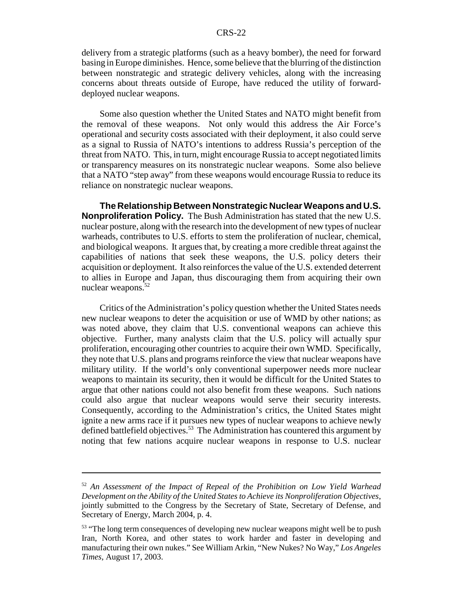delivery from a strategic platforms (such as a heavy bomber), the need for forward basing in Europe diminishes. Hence, some believe that the blurring of the distinction between nonstrategic and strategic delivery vehicles, along with the increasing concerns about threats outside of Europe, have reduced the utility of forwarddeployed nuclear weapons.

Some also question whether the United States and NATO might benefit from the removal of these weapons. Not only would this address the Air Force's operational and security costs associated with their deployment, it also could serve as a signal to Russia of NATO's intentions to address Russia's perception of the threat from NATO. This, in turn, might encourage Russia to accept negotiated limits or transparency measures on its nonstrategic nuclear weapons. Some also believe that a NATO "step away" from these weapons would encourage Russia to reduce its reliance on nonstrategic nuclear weapons.

**The Relationship Between Nonstrategic Nuclear Weapons and U.S. Nonproliferation Policy.** The Bush Administration has stated that the new U.S. nuclear posture, along with the research into the development of new types of nuclear warheads, contributes to U.S. efforts to stem the proliferation of nuclear, chemical, and biological weapons. It argues that, by creating a more credible threat against the capabilities of nations that seek these weapons, the U.S. policy deters their acquisition or deployment. It also reinforces the value of the U.S. extended deterrent to allies in Europe and Japan, thus discouraging them from acquiring their own nuclear weapons.<sup>52</sup>

Critics of the Administration's policy question whether the United States needs new nuclear weapons to deter the acquisition or use of WMD by other nations; as was noted above, they claim that U.S. conventional weapons can achieve this objective. Further, many analysts claim that the U.S. policy will actually spur proliferation, encouraging other countries to acquire their own WMD. Specifically, they note that U.S. plans and programs reinforce the view that nuclear weapons have military utility. If the world's only conventional superpower needs more nuclear weapons to maintain its security, then it would be difficult for the United States to argue that other nations could not also benefit from these weapons. Such nations could also argue that nuclear weapons would serve their security interests. Consequently, according to the Administration's critics, the United States might ignite a new arms race if it pursues new types of nuclear weapons to achieve newly defined battlefield objectives.<sup>53</sup> The Administration has countered this argument by noting that few nations acquire nuclear weapons in response to U.S. nuclear

<sup>52</sup> *An Assessment of the Impact of Repeal of the Prohibition on Low Yield Warhead Development on the Ability of the United States to Achieve its Nonproliferation Objectives*, jointly submitted to the Congress by the Secretary of State, Secretary of Defense, and Secretary of Energy, March 2004, p. 4.

<sup>&</sup>lt;sup>53</sup> "The long term consequences of developing new nuclear weapons might well be to push Iran, North Korea, and other states to work harder and faster in developing and manufacturing their own nukes." See William Arkin, "New Nukes? No Way," *Los Angeles Times*, August 17, 2003.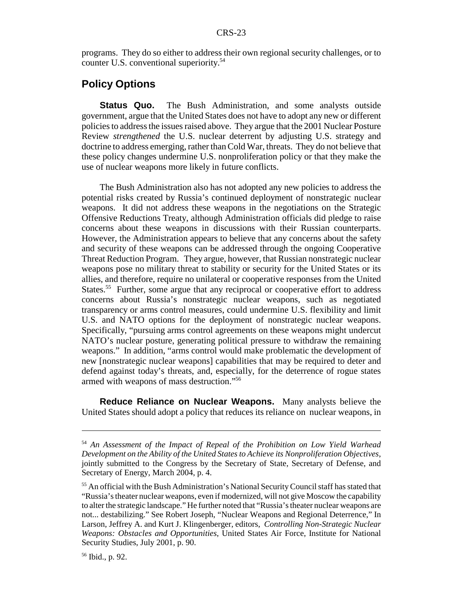programs. They do so either to address their own regional security challenges, or to counter U.S. conventional superiority.<sup>54</sup>

## **Policy Options**

**Status Quo.** The Bush Administration, and some analysts outside government, argue that the United States does not have to adopt any new or different policies to address the issues raised above. They argue that the 2001 Nuclear Posture Review *strengthened* the U.S. nuclear deterrent by adjusting U.S. strategy and doctrine to address emerging, rather than Cold War, threats. They do not believe that these policy changes undermine U.S. nonproliferation policy or that they make the use of nuclear weapons more likely in future conflicts.

The Bush Administration also has not adopted any new policies to address the potential risks created by Russia's continued deployment of nonstrategic nuclear weapons. It did not address these weapons in the negotiations on the Strategic Offensive Reductions Treaty, although Administration officials did pledge to raise concerns about these weapons in discussions with their Russian counterparts. However, the Administration appears to believe that any concerns about the safety and security of these weapons can be addressed through the ongoing Cooperative Threat Reduction Program. They argue, however, that Russian nonstrategic nuclear weapons pose no military threat to stability or security for the United States or its allies, and therefore, require no unilateral or cooperative responses from the United States.<sup>55</sup> Further, some argue that any reciprocal or cooperative effort to address concerns about Russia's nonstrategic nuclear weapons, such as negotiated transparency or arms control measures, could undermine U.S. flexibility and limit U.S. and NATO options for the deployment of nonstrategic nuclear weapons. Specifically, "pursuing arms control agreements on these weapons might undercut NATO's nuclear posture, generating political pressure to withdraw the remaining weapons." In addition, "arms control would make problematic the development of new [nonstrategic nuclear weapons] capabilities that may be required to deter and defend against today's threats, and, especially, for the deterrence of rogue states armed with weapons of mass destruction."56

**Reduce Reliance on Nuclear Weapons.** Many analysts believe the United States should adopt a policy that reduces its reliance on nuclear weapons, in

<sup>54</sup> *An Assessment of the Impact of Repeal of the Prohibition on Low Yield Warhead Development on the Ability of the United States to Achieve its Nonproliferation Objectives*, jointly submitted to the Congress by the Secretary of State, Secretary of Defense, and Secretary of Energy, March 2004, p. 4.

<sup>&</sup>lt;sup>55</sup> An official with the Bush Administration's National Security Council staff has stated that "Russia's theater nuclear weapons, even if modernized, will not give Moscow the capability to alter the strategic landscape." He further noted that "Russia's theater nuclear weapons are not... destabilizing." See Robert Joseph, "Nuclear Weapons and Regional Deterrence," In Larson, Jeffrey A. and Kurt J. Klingenberger, editors, *Controlling Non-Strategic Nuclear Weapons: Obstacles and Opportunities*, United States Air Force, Institute for National Security Studies, July 2001, p. 90.

<sup>56</sup> Ibid., p. 92.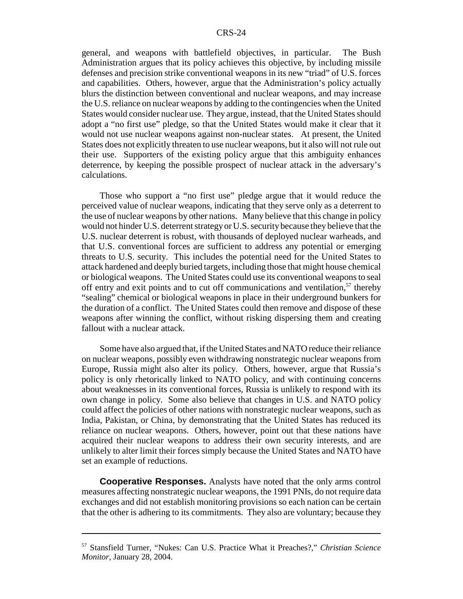general, and weapons with battlefield objectives, in particular. The Bush Administration argues that its policy achieves this objective, by including missile defenses and precision strike conventional weapons in its new "triad" of U.S. forces and capabilities. Others, however, argue that the Administration's policy actually blurs the distinction between conventional and nuclear weapons, and may increase the U.S. reliance on nuclear weapons by adding to the contingencies when the United States would consider nuclear use. They argue, instead, that the United States should adopt a "no first use" pledge, so that the United States would make it clear that it would not use nuclear weapons against non-nuclear states. At present, the United States does not explicitly threaten to use nuclear weapons, but it also will not rule out their use. Supporters of the existing policy argue that this ambiguity enhances deterrence, by keeping the possible prospect of nuclear attack in the adversary's calculations.

Those who support a "no first use" pledge argue that it would reduce the perceived value of nuclear weapons, indicating that they serve only as a deterrent to the use of nuclear weapons by other nations. Many believe that this change in policy would not hinder U.S. deterrent strategy or U.S. security because they believe that the U.S. nuclear deterrent is robust, with thousands of deployed nuclear warheads, and that U.S. conventional forces are sufficient to address any potential or emerging threats to U.S. security. This includes the potential need for the United States to attack hardened and deeply buried targets, including those that might house chemical or biological weapons. The United States could use its conventional weapons to seal off entry and exit points and to cut off communications and ventilation,<sup>57</sup> thereby "sealing" chemical or biological weapons in place in their underground bunkers for the duration of a conflict. The United States could then remove and dispose of these weapons after winning the conflict, without risking dispersing them and creating fallout with a nuclear attack.

Some have also argued that, if the United States and NATO reduce their reliance on nuclear weapons, possibly even withdrawing nonstrategic nuclear weapons from Europe, Russia might also alter its policy. Others, however, argue that Russia's policy is only rhetorically linked to NATO policy, and with continuing concerns about weaknesses in its conventional forces, Russia is unlikely to respond with its own change in policy. Some also believe that changes in U.S. and NATO policy could affect the policies of other nations with nonstrategic nuclear weapons, such as India, Pakistan, or China, by demonstrating that the United States has reduced its reliance on nuclear weapons. Others, however, point out that these nations have acquired their nuclear weapons to address their own security interests, and are unlikely to alter limit their forces simply because the United States and NATO have set an example of reductions.

**Cooperative Responses.** Analysts have noted that the only arms control measures affecting nonstrategic nuclear weapons, the 1991 PNIs, do not require data exchanges and did not establish monitoring provisions so each nation can be certain that the other is adhering to its commitments. They also are voluntary; because they

<sup>57</sup> Stansfield Turner, "Nukes: Can U.S. Practice What it Preaches?," *Christian Science Monitor*, January 28, 2004.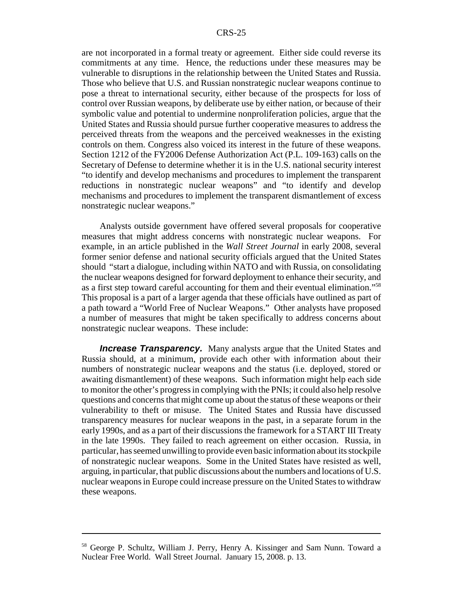are not incorporated in a formal treaty or agreement. Either side could reverse its commitments at any time. Hence, the reductions under these measures may be vulnerable to disruptions in the relationship between the United States and Russia. Those who believe that U.S. and Russian nonstrategic nuclear weapons continue to pose a threat to international security, either because of the prospects for loss of control over Russian weapons, by deliberate use by either nation, or because of their symbolic value and potential to undermine nonproliferation policies, argue that the United States and Russia should pursue further cooperative measures to address the perceived threats from the weapons and the perceived weaknesses in the existing controls on them. Congress also voiced its interest in the future of these weapons. Section 1212 of the FY2006 Defense Authorization Act (P.L. 109-163) calls on the Secretary of Defense to determine whether it is in the U.S. national security interest "to identify and develop mechanisms and procedures to implement the transparent reductions in nonstrategic nuclear weapons" and "to identify and develop mechanisms and procedures to implement the transparent dismantlement of excess nonstrategic nuclear weapons."

Analysts outside government have offered several proposals for cooperative measures that might address concerns with nonstrategic nuclear weapons. For example, in an article published in the *Wall Street Journal* in early 2008, several former senior defense and national security officials argued that the United States should "start a dialogue, including within NATO and with Russia, on consolidating the nuclear weapons designed for forward deployment to enhance their security, and as a first step toward careful accounting for them and their eventual elimination."58 This proposal is a part of a larger agenda that these officials have outlined as part of a path toward a "World Free of Nuclear Weapons." Other analysts have proposed a number of measures that might be taken specifically to address concerns about nonstrategic nuclear weapons. These include:

**Increase Transparency.** Many analysts argue that the United States and Russia should, at a minimum, provide each other with information about their numbers of nonstrategic nuclear weapons and the status (i.e. deployed, stored or awaiting dismantlement) of these weapons. Such information might help each side to monitor the other's progress in complying with the PNIs; it could also help resolve questions and concerns that might come up about the status of these weapons or their vulnerability to theft or misuse. The United States and Russia have discussed transparency measures for nuclear weapons in the past, in a separate forum in the early 1990s, and as a part of their discussions the framework for a START III Treaty in the late 1990s. They failed to reach agreement on either occasion. Russia, in particular, has seemed unwilling to provide even basic information about its stockpile of nonstrategic nuclear weapons. Some in the United States have resisted as well, arguing, in particular, that public discussions about the numbers and locations of U.S. nuclear weapons in Europe could increase pressure on the United States to withdraw these weapons.

<sup>58</sup> George P. Schultz, William J. Perry, Henry A. Kissinger and Sam Nunn. Toward a Nuclear Free World. Wall Street Journal. January 15, 2008. p. 13.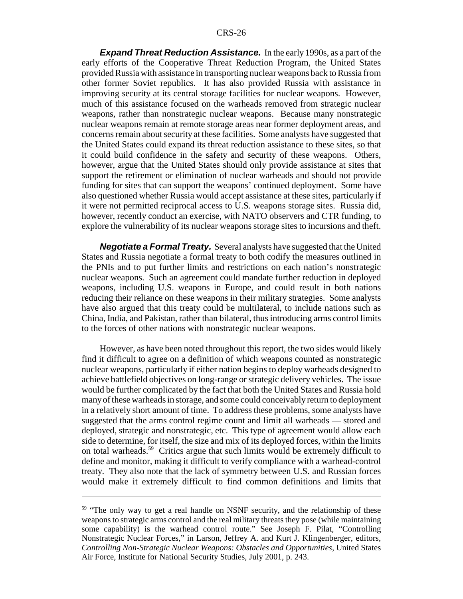*Expand Threat Reduction Assistance.* In the early 1990s, as a part of the early efforts of the Cooperative Threat Reduction Program, the United States provided Russia with assistance in transporting nuclear weapons back to Russia from other former Soviet republics. It has also provided Russia with assistance in improving security at its central storage facilities for nuclear weapons. However, much of this assistance focused on the warheads removed from strategic nuclear weapons, rather than nonstrategic nuclear weapons. Because many nonstrategic nuclear weapons remain at remote storage areas near former deployment areas, and concerns remain about security at these facilities. Some analysts have suggested that the United States could expand its threat reduction assistance to these sites, so that it could build confidence in the safety and security of these weapons. Others, however, argue that the United States should only provide assistance at sites that support the retirement or elimination of nuclear warheads and should not provide funding for sites that can support the weapons' continued deployment. Some have also questioned whether Russia would accept assistance at these sites, particularly if it were not permitted reciprocal access to U.S. weapons storage sites. Russia did, however, recently conduct an exercise, with NATO observers and CTR funding, to explore the vulnerability of its nuclear weapons storage sites to incursions and theft.

*Negotiate a Formal Treaty.* Several analysts have suggested that the United States and Russia negotiate a formal treaty to both codify the measures outlined in the PNIs and to put further limits and restrictions on each nation's nonstrategic nuclear weapons. Such an agreement could mandate further reduction in deployed weapons, including U.S. weapons in Europe, and could result in both nations reducing their reliance on these weapons in their military strategies. Some analysts have also argued that this treaty could be multilateral, to include nations such as China, India, and Pakistan, rather than bilateral, thus introducing arms control limits to the forces of other nations with nonstrategic nuclear weapons.

However, as have been noted throughout this report, the two sides would likely find it difficult to agree on a definition of which weapons counted as nonstrategic nuclear weapons, particularly if either nation begins to deploy warheads designed to achieve battlefield objectives on long-range or strategic delivery vehicles. The issue would be further complicated by the fact that both the United States and Russia hold many of these warheads in storage, and some could conceivably return to deployment in a relatively short amount of time. To address these problems, some analysts have suggested that the arms control regime count and limit all warheads — stored and deployed, strategic and nonstrategic, etc. This type of agreement would allow each side to determine, for itself, the size and mix of its deployed forces, within the limits on total warheads.59 Critics argue that such limits would be extremely difficult to define and monitor, making it difficult to verify compliance with a warhead-control treaty. They also note that the lack of symmetry between U.S. and Russian forces would make it extremely difficult to find common definitions and limits that

<sup>&</sup>lt;sup>59</sup> "The only way to get a real handle on NSNF security, and the relationship of these weapons to strategic arms control and the real military threats they pose (while maintaining some capability) is the warhead control route." See Joseph F. Pilat, "Controlling Nonstrategic Nuclear Forces," in Larson, Jeffrey A. and Kurt J. Klingenberger, editors, *Controlling Non-Strategic Nuclear Weapons: Obstacles and Opportunities*, United States Air Force, Institute for National Security Studies, July 2001, p. 243.